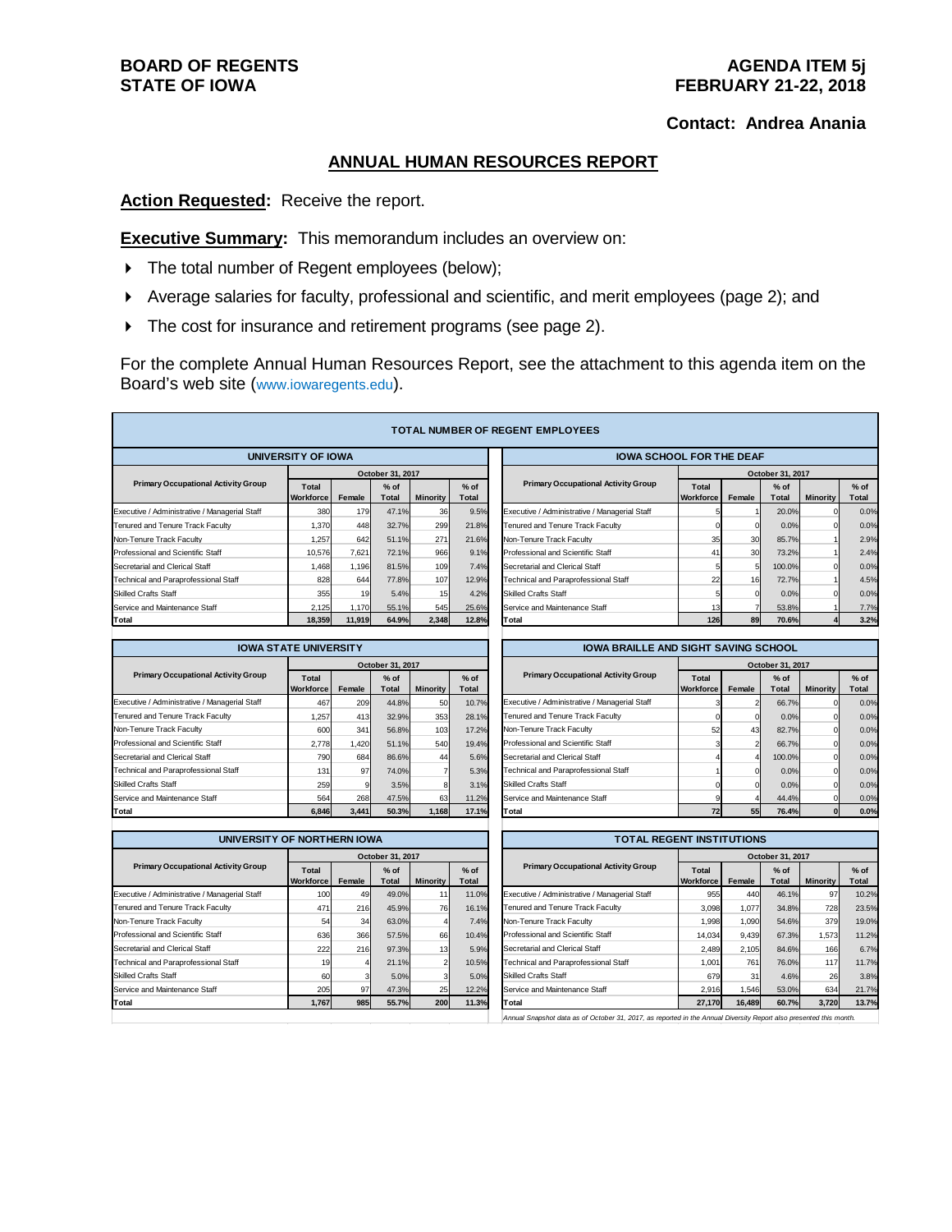## **Contact: Andrea Anania**

## **ANNUAL HUMAN RESOURCES REPORT**

**Action Requested:** Receive the report.

**Executive Summary:** This memorandum includes an overview on:

- $\triangleright$  The total number of Regent employees (below);
- Average salaries for faculty, professional and scientific, and merit employees (page 2); and
- The cost for insurance and retirement programs (see page 2).

For the complete Annual Human Resources Report, see the attachment to this agenda item on the Board's web site (www.iowaregents.edu).

| <b>TOTAL NUMBER OF REGENT EMPLOYEES</b>       |                    |        |                        |                 |                                             |                                               |                           |        |                        |                 |                        |  |
|-----------------------------------------------|--------------------|--------|------------------------|-----------------|---------------------------------------------|-----------------------------------------------|---------------------------|--------|------------------------|-----------------|------------------------|--|
| UNIVERSITY OF IOWA                            |                    |        |                        |                 | <b>IOWA SCHOOL FOR THE DEAF</b>             |                                               |                           |        |                        |                 |                        |  |
|                                               |                    |        | October 31, 2017       |                 |                                             |                                               |                           |        | October 31, 2017       |                 |                        |  |
| <b>Primary Occupational Activity Group</b>    | Total<br>Workforce | Female | $%$ of<br><b>Total</b> | <b>Minority</b> | $%$ of<br><b>Total</b>                      | <b>Primary Occupational Activity Group</b>    | Total<br><b>Workforce</b> | Female | $%$ of<br><b>Total</b> | <b>Minority</b> | $%$ of<br><b>Total</b> |  |
| Executive / Administrative / Managerial Staff | 380                | 179    | 47.1%                  | 36              | 9.5%                                        | Executive / Administrative / Managerial Staff |                           |        | 20.0%                  | $\Omega$        | 0.0%                   |  |
| Tenured and Tenure Track Faculty              | 1,370              | 448    | 32.7%                  | 299             | 21.8%                                       | Tenured and Tenure Track Faculty              |                           |        | 0.0%                   |                 | 0.0%                   |  |
| Non-Tenure Track Faculty                      | 1,257              | 642    | 51.1%                  | 271             | 21.6%                                       | Non-Tenure Track Faculty                      | 35                        | 30     | 85.7%                  |                 | 2.9%                   |  |
| Professional and Scientific Staff             | 10,576             | 7,621  | 72.1%                  | 966             | 9.1%                                        | Professional and Scientific Staff             | 4                         | 30     | 73.2%                  |                 | 2.4%                   |  |
| Secretarial and Clerical Staff                | 1,468              | 1,196  | 81.5%                  | 109             | 7.4%                                        | Secretarial and Clerical Staff                |                           |        | 100.0%                 | $\Omega$        | 0.0%                   |  |
| Technical and Paraprofessional Staff          | 828                | 644    | 77.8%                  | 107             | 12.9%                                       | Technical and Paraprofessional Staff          | 22                        | 16     | 72.7%                  |                 | 4.5%                   |  |
| <b>Skilled Crafts Staff</b>                   | 355                | 19     | 5.4%                   | 15 <sup>1</sup> | 4.2%                                        | <b>Skilled Crafts Staff</b>                   |                           |        | 0.0%                   |                 | 0.0%                   |  |
| Service and Maintenance Staff                 | 2,125              | 1,170  | 55.1%                  | 545             | 25.6%                                       | Service and Maintenance Staff                 | 13                        |        | 53.8%                  |                 | 7.7%                   |  |
| Total                                         | 18,359             | 11.919 | 64.9%                  | 2,348           | 12.8%                                       | Total                                         | 126                       | 89     | 70.6%                  |                 | 3.2%                   |  |
|                                               |                    |        |                        |                 |                                             |                                               |                           |        |                        |                 |                        |  |
| <b>IOWA STATE UNIVERSITY</b>                  |                    |        |                        |                 | <b>IOWA BRAILLE AND SIGHT SAVING SCHOOL</b> |                                               |                           |        |                        |                 |                        |  |
|                                               |                    |        | October 31, 2017       |                 |                                             |                                               | October 31, 2017          |        |                        |                 |                        |  |
| <b>Primary Occupational Activity Group</b>    | Total              |        | 0/105                  |                 | 0/25                                        | <b>Primary Occupational Activity Group</b>    | Total                     |        | 0/25                   |                 | 0/105                  |  |

|                                               | October 31, 2017          |        |                        |                 |                        |  |  |  |  |  |
|-----------------------------------------------|---------------------------|--------|------------------------|-----------------|------------------------|--|--|--|--|--|
| <b>Primary Occupational Activity Group</b>    | <b>Total</b><br>Workforce | Female | $%$ of<br><b>Total</b> | <b>Minority</b> | $%$ of<br><b>Total</b> |  |  |  |  |  |
| Executive / Administrative / Managerial Staff | 467                       | 209    | 44.8%                  | 50              | 10.7%                  |  |  |  |  |  |
| Tenured and Tenure Track Faculty              | 1.257                     | 413    | 32.9%                  | 353             | 28.1%                  |  |  |  |  |  |
| Non-Tenure Track Faculty                      | 600                       | 341    | 56.8%                  | 103             | 17.2%                  |  |  |  |  |  |
| Professional and Scientific Staff             | 2.778                     | 1.420  | 51.1%                  | 540l            | 19.4%                  |  |  |  |  |  |
| Secretarial and Clerical Staff                | 790                       | 684    | 86.6%                  | 44              | 5.6%                   |  |  |  |  |  |
| <b>Technical and Paraprofessional Staff</b>   | 131                       | 97     | 74.0%                  |                 | 5.3%                   |  |  |  |  |  |
| <b>Skilled Crafts Staff</b>                   | 259                       | 9      | 3.5%                   | 8               | 3.1%                   |  |  |  |  |  |
| Service and Maintenance Staff                 | 564                       | 268    | 47.5%                  | 63              | 11.2%                  |  |  |  |  |  |
| Total                                         | 6.846                     | 3.441  | 50.3%                  | 1,168           | 17.1%                  |  |  |  |  |  |

| <b>IOWA STATE UNIVERSITY</b>                  |                           |        |                 |                 |                 | <b>IOWA BRAILLE AND SIGHT SAVING SCHOOL</b>   |                    |        |                 |                 |                 |  |  |
|-----------------------------------------------|---------------------------|--------|-----------------|-----------------|-----------------|-----------------------------------------------|--------------------|--------|-----------------|-----------------|-----------------|--|--|
|                                               | October 31, 2017          |        |                 |                 |                 |                                               | October 31, 2017   |        |                 |                 |                 |  |  |
| <b>Primary Occupational Activity Group</b>    | Total<br><b>Workforce</b> | Female | $%$ of<br>Total | <b>Minority</b> | $%$ of<br>Total | <b>Primary Occupational Activity Group</b>    | Total<br>Workforce | Female | $%$ of<br>Total | <b>Minority</b> | $%$ of<br>Total |  |  |
| Executive / Administrative / Managerial Staff | 467                       | 209    | 44.8%           | 50              | 10.7%           | Executive / Administrative / Managerial Staff |                    |        | 66.7%           |                 | 0.0%            |  |  |
| Tenured and Tenure Track Faculty              | .257                      | 413    | 32.9%           | 353             | 28.1%           | Tenured and Tenure Track Faculty              |                    |        | 0.0%            |                 | 0.0%            |  |  |
| Non-Tenure Track Faculty                      | 600                       | 341    | 56.8%           | 103             | 17.2%           | Non-Tenure Track Faculty                      | 52                 | 43     | 82.7%           |                 | 0.0%            |  |  |
| Professional and Scientific Staff             | 2.778                     | 1.420  | 51.1%           | 540             | 19.4%           | Professional and Scientific Staff             |                    |        | 66.7%           |                 | 0.0%            |  |  |
| Secretarial and Clerical Staff                | 790                       | 684    | 86.6%           | 44              | 5.6%            | Secretarial and Clerical Staff                |                    |        | 100.0%          |                 | 0.0%            |  |  |
| Technical and Paraprofessional Staff          | 131                       | 97     | 74.0%           |                 | 5.3%            | Technical and Paraprofessional Staff          |                    |        | 0.0%            |                 | 0.0%            |  |  |
| Skilled Crafts Staff                          | 259                       |        | 3.5%            |                 | 3.1%            | <b>Skilled Crafts Staff</b>                   |                    |        | 0.0%            |                 | 0.0%            |  |  |
| Service and Maintenance Staff                 | 564                       | 268    | 47.5%           | 63              | 11.2%           | Service and Maintenance Staff                 |                    |        | 44.4%           |                 | 0.0%            |  |  |
| Total                                         | 6,846                     | 3,441  | 50.3%           | 1,168           | 17.1%           | Total                                         | 72                 | 55     | 76.4%           |                 | 0.0%            |  |  |
|                                               |                           |        |                 |                 |                 |                                               |                    |        |                 |                 |                 |  |  |

| UNIVERSITY OF NORTHERN IOWA                   |                           |        |                 |                 |                        |  |  |  |  |  |
|-----------------------------------------------|---------------------------|--------|-----------------|-----------------|------------------------|--|--|--|--|--|
|                                               | October 31, 2017          |        |                 |                 |                        |  |  |  |  |  |
| <b>Primary Occupational Activity Group</b>    | <b>Total</b><br>Workforce | Female | $%$ of<br>Total | <b>Minority</b> | $%$ of<br><b>Total</b> |  |  |  |  |  |
| Executive / Administrative / Managerial Staff | 100                       | 49     | 49.0%           | 11              | 11.0%                  |  |  |  |  |  |
| Tenured and Tenure Track Faculty              | 471                       | 216    | 45.9%           | 76              | 16.1%                  |  |  |  |  |  |
| Non-Tenure Track Faculty                      | 54                        | 34     | 63.0%           |                 | 7.4%                   |  |  |  |  |  |
| Professional and Scientific Staff             | 636                       | 366    | 57.5%           | 66              | 10.4%                  |  |  |  |  |  |
| Secretarial and Clerical Staff                | 222                       | 216    | 97.3%           | 13              | 5.9%                   |  |  |  |  |  |
| Technical and Paraprofessional Staff          | 19                        |        | 21.1%           |                 | 10.5%                  |  |  |  |  |  |
| <b>Skilled Crafts Staff</b>                   | 60                        |        | 5.0%            | 3               | 5.0%                   |  |  |  |  |  |
| Service and Maintenance Staff                 | 205                       | 97     | 47.3%           | 25              | 12.2%                  |  |  |  |  |  |
| Total                                         | 1,767                     | 985    | 55.7%           | 200             | 11.3%                  |  |  |  |  |  |

| UNIVERSITY OF NORTHERN IOWA                   |                           |        |                        |                 |                 | <b>TOTAL REGENT INSTITUTIONS</b>              |                                  |        |                        |                 |                 |  |
|-----------------------------------------------|---------------------------|--------|------------------------|-----------------|-----------------|-----------------------------------------------|----------------------------------|--------|------------------------|-----------------|-----------------|--|
|                                               | October 31, 2017          |        |                        |                 |                 |                                               | October 31, 2017                 |        |                        |                 |                 |  |
| <b>Primary Occupational Activity Group</b>    | Total<br><b>Workforce</b> | Female | $%$ of<br><b>Total</b> | <b>Minority</b> | $%$ of<br>Total | <b>Primary Occupational Activity Group</b>    | <b>Total</b><br><b>Workforce</b> | Female | $%$ of<br><b>Total</b> | <b>Minority</b> | $%$ of<br>Total |  |
| Executive / Administrative / Managerial Staff | 100                       | 49     | 49.0%                  |                 | 11.0%           | Executive / Administrative / Managerial Staff | 955                              | 440    | 46.1%                  | 97              | 10.2%           |  |
| Tenured and Tenure Track Faculty              | 471                       | 216    | 45.9%                  | 76              | 16.1%           | Tenured and Tenure Track Faculty              | 3.098                            | 1.077  | 34.8%                  | 728             | 23.5%           |  |
| Non-Tenure Track Faculty                      | 54                        | 34     | 63.0%                  |                 | 7.4%            | Non-Tenure Track Faculty                      | 1.998                            | 1.090  | 54.6%                  | 379             | 19.0%           |  |
| Professional and Scientific Staff             | 636                       | 366    | 57.5%                  | 66              | 10.4%           | Professional and Scientific Staff             | 14.034                           | 9,439  | 67.3%                  | 1,573           | 11.2%           |  |
| Secretarial and Clerical Staff                | 222                       | 216    | 97.3%                  | 13 <sup>1</sup> | 5.9%            | Secretarial and Clerical Staff                | 2.489                            | 2.105  | 84.6%                  | 166             | 6.7%            |  |
| Technical and Paraprofessional Staff          | 19                        |        | 21.1%                  |                 | 10.5%           | Technical and Paraprofessional Staff          | 1,001                            | 761    | 76.0%                  | 117             | 11.7%           |  |
| Skilled Crafts Staff                          | 60                        |        | 5.0%                   |                 | 5.0%            | <b>Skilled Crafts Staff</b>                   | 679                              | 31     | 4.6%                   | 26              | 3.8%            |  |
| Service and Maintenance Staff                 | 205                       | 97     | 47.3%                  | 25              | 12.2%           | Service and Maintenance Staff                 | 2.916                            | 1,546  | 53.0%                  | 634             | 21.7%           |  |
| Total                                         | 1.767                     | 985    | 55.7%                  | 200             | 11.3%           | Total                                         | 27,170                           | 16,489 | 60.7%                  | 3,720           | 13.7%           |  |

*Annual Snapshot data as of October 31, 2017, as reported in the Annual Diversity Report also presented this month.*